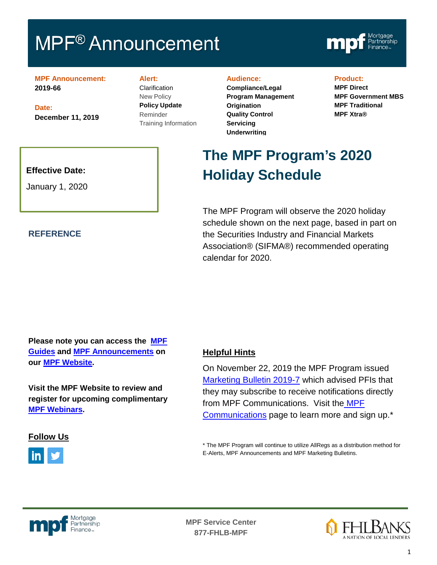# **MPF<sup>®</sup> Announcement**



**MPF Announcement: 2019-66**

**Date: December 11, 2019**

### **Alert:**

**Clarification** New Policy **Policy Update** Reminder Training Information

#### **Audience:**

**Compliance/Legal Program Management Origination Quality Control Servicing Underwriting**

### **Product:**

**MPF Direct MPF Government MBS MPF Traditional MPF Xtra®**

## **Effective Date:**

January 1, 2020

### **REFERENCE**

# **The MPF Program's 2020 Holiday Schedule**

The MPF Program will observe the 2020 holiday schedule shown on the next page, based in part on the Securities Industry and Financial Markets Association® (SIFMA®) recommended operating calendar for 2020.

# **Please note you can access the [MPF](https://fhlbmpf.com/mpf-guides/guides)  [Guides](https://fhlbmpf.com/mpf-guides/guides) and [MPF Announcements](https://fhlbmpf.com/mpf-guides/announcements) on our [MPF Website.](https://fhlbmpf.com/)**

**Visit the MPF Website to review and register for upcoming complimentary [MPF Webinars.](https://www.fhlbmpf.com/education/upcoming-webinars)**

## **Follow Us**



# **Helpful Hints**

On November 22, 2019 the MPF Program issued [Marketing Bulletin 2019-7](https://www.fhlbmpf.com/docs/default-source/mpf-news/marketing-bulletins/mpf-marketing-bulletin---2019-7.pdf?sfvrsn=406585cc_0) which advised PFIs that they may subscribe to receive notifications directly from MPF Communications. Visit the [MPF](https://www.fhlbmpf.com/mpf-guides/mpf-communication)  [Communications](https://www.fhlbmpf.com/mpf-guides/mpf-communication) page to learn more and sign up.\*

\* The MPF Program will continue to utilize AllRegs as a distribution method for E-Alerts, MPF Announcements and MPF Marketing Bulletins.



**MPF Service Center 877-FHLB-MPF** f,